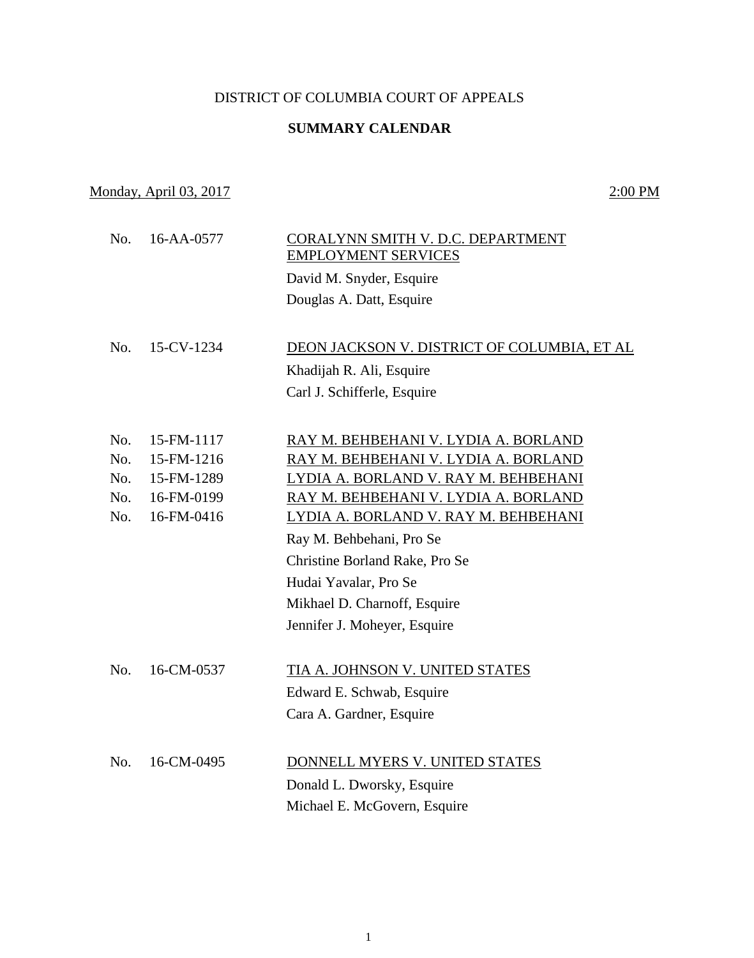## DISTRICT OF COLUMBIA COURT OF APPEALS

## **SUMMARY CALENDAR**

## Monday, April 03, 2017 2:00 PM

 No. 16-AA-0577 CORALYNN SMITH V. D.C. DEPARTMENT EMPLOYMENT SERVICES David M. Snyder, Esquire Douglas A. Datt, Esquire No. 15-CV-1234 DEON JACKSON V. DISTRICT OF COLUMBIA, ET AL Khadijah R. Ali, Esquire Carl J. Schifferle, Esquire No. 15-FM-1117 RAY M. BEHBEHANI V. LYDIA A. BORLAND No. 15-FM-1216 RAY M. BEHBEHANI V. LYDIA A. BORLAND No. 15-FM-1289 LYDIA A. BORLAND V. RAY M. BEHBEHANI No. 16-FM-0199 RAY M. BEHBEHANI V. LYDIA A. BORLAND No. 16-FM-0416 LYDIA A. BORLAND V. RAY M. BEHBEHANI Ray M. Behbehani, Pro Se Christine Borland Rake, Pro Se Hudai Yavalar, Pro Se Mikhael D. Charnoff, Esquire Jennifer J. Moheyer, Esquire No. 16-CM-0537 TIA A. JOHNSON V. UNITED STATES Edward E. Schwab, Esquire Cara A. Gardner, Esquire No. 16-CM-0495 DONNELL MYERS V. UNITED STATES Donald L. Dworsky, Esquire Michael E. McGovern, Esquire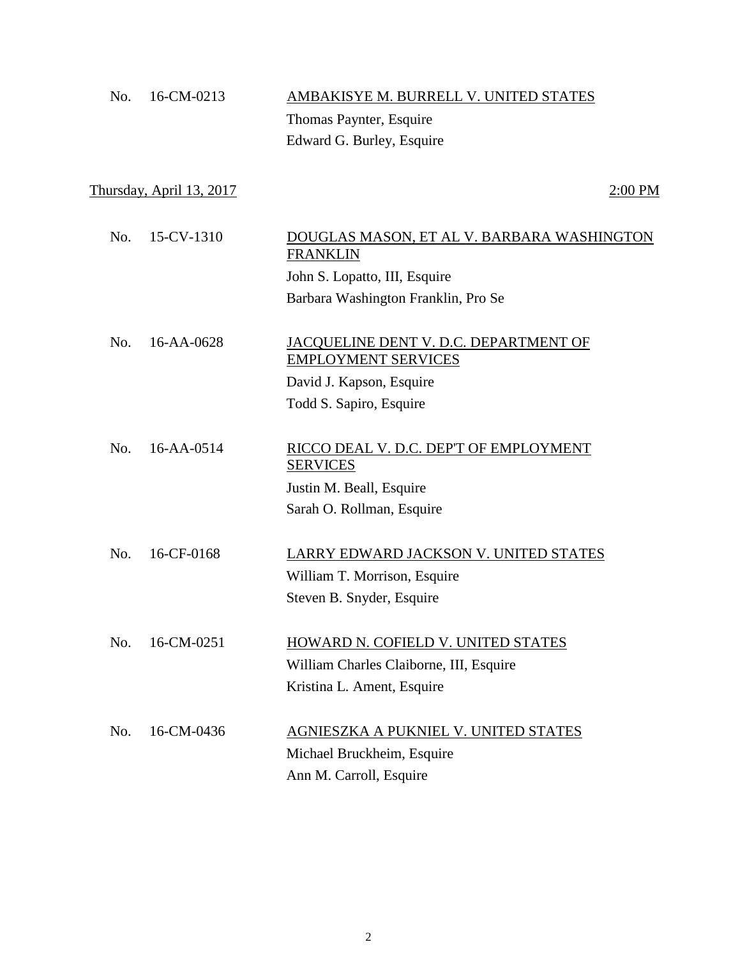| No. | 16-CM-0213                      | AMBAKISYE M. BURRELL V. UNITED STATES                               |           |
|-----|---------------------------------|---------------------------------------------------------------------|-----------|
|     |                                 | Thomas Paynter, Esquire                                             |           |
|     |                                 | Edward G. Burley, Esquire                                           |           |
|     |                                 |                                                                     |           |
|     | <u>Thursday, April 13, 2017</u> |                                                                     | $2:00$ PM |
|     |                                 |                                                                     |           |
| No. | 15-CV-1310                      | DOUGLAS MASON, ET AL V. BARBARA WASHINGTON<br><b>FRANKLIN</b>       |           |
|     |                                 | John S. Lopatto, III, Esquire                                       |           |
|     |                                 | Barbara Washington Franklin, Pro Se                                 |           |
|     |                                 |                                                                     |           |
| No. | 16-AA-0628                      | JACQUELINE DENT V. D.C. DEPARTMENT OF<br><b>EMPLOYMENT SERVICES</b> |           |
|     |                                 | David J. Kapson, Esquire                                            |           |
|     |                                 | Todd S. Sapiro, Esquire                                             |           |
|     |                                 |                                                                     |           |
| No. | 16-AA-0514                      | RICCO DEAL V. D.C. DEP'T OF EMPLOYMENT<br><b>SERVICES</b>           |           |
|     |                                 | Justin M. Beall, Esquire                                            |           |
|     |                                 | Sarah O. Rollman, Esquire                                           |           |
|     |                                 |                                                                     |           |
| No. | 16-CF-0168                      | LARRY EDWARD JACKSON V. UNITED STATES                               |           |
|     |                                 | William T. Morrison, Esquire                                        |           |
|     |                                 | Steven B. Snyder, Esquire                                           |           |
|     |                                 |                                                                     |           |
| No. | 16-CM-0251                      | HOWARD N. COFIELD V. UNITED STATES                                  |           |
|     |                                 | William Charles Claiborne, III, Esquire                             |           |
|     |                                 | Kristina L. Ament, Esquire                                          |           |
|     |                                 |                                                                     |           |
| No. | 16-CM-0436                      | AGNIESZKA A PUKNIEL V. UNITED STATES                                |           |
|     |                                 | Michael Bruckheim, Esquire                                          |           |
|     |                                 | Ann M. Carroll, Esquire                                             |           |
|     |                                 |                                                                     |           |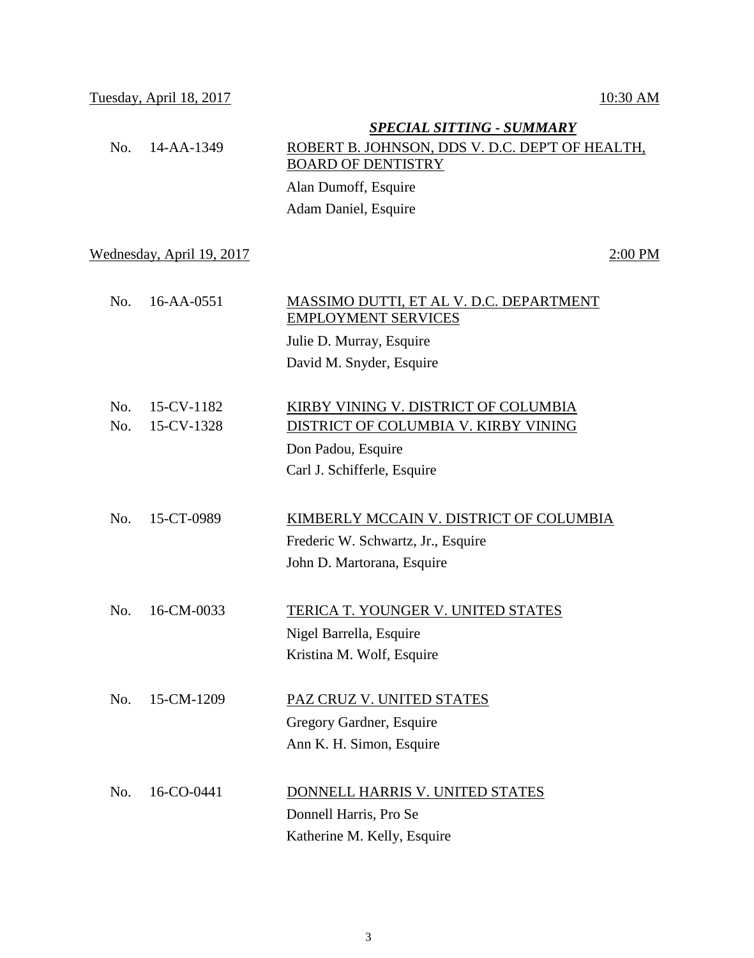## *SPECIAL SITTING - SUMMARY* No. 14-AA-1349 ROBERT B. JOHNSON, DDS V. D.C. DEP'T OF HEALTH, BOARD OF DENTISTRY Alan Dumoff, Esquire Adam Daniel, Esquire Wednesday, April 19, 2017 2:00 PM No. 16-AA-0551 MASSIMO DUTTI, ET AL V. D.C. DEPARTMENT EMPLOYMENT SERVICES Julie D. Murray, Esquire David M. Snyder, Esquire No. 15-CV-1182 KIRBY VINING V. DISTRICT OF COLUMBIA No. 15-CV-1328 DISTRICT OF COLUMBIA V. KIRBY VINING Don Padou, Esquire Carl J. Schifferle, Esquire No. 15-CT-0989 KIMBERLY MCCAIN V. DISTRICT OF COLUMBIA Frederic W. Schwartz, Jr., Esquire John D. Martorana, Esquire No. 16-CM-0033 TERICA T. YOUNGER V. UNITED STATES Nigel Barrella, Esquire Kristina M. Wolf, Esquire No. 15-CM-1209 PAZ CRUZ V. UNITED STATES Gregory Gardner, Esquire Ann K. H. Simon, Esquire No. 16-CO-0441 DONNELL HARRIS V. UNITED STATES Donnell Harris, Pro Se

3

Katherine M. Kelly, Esquire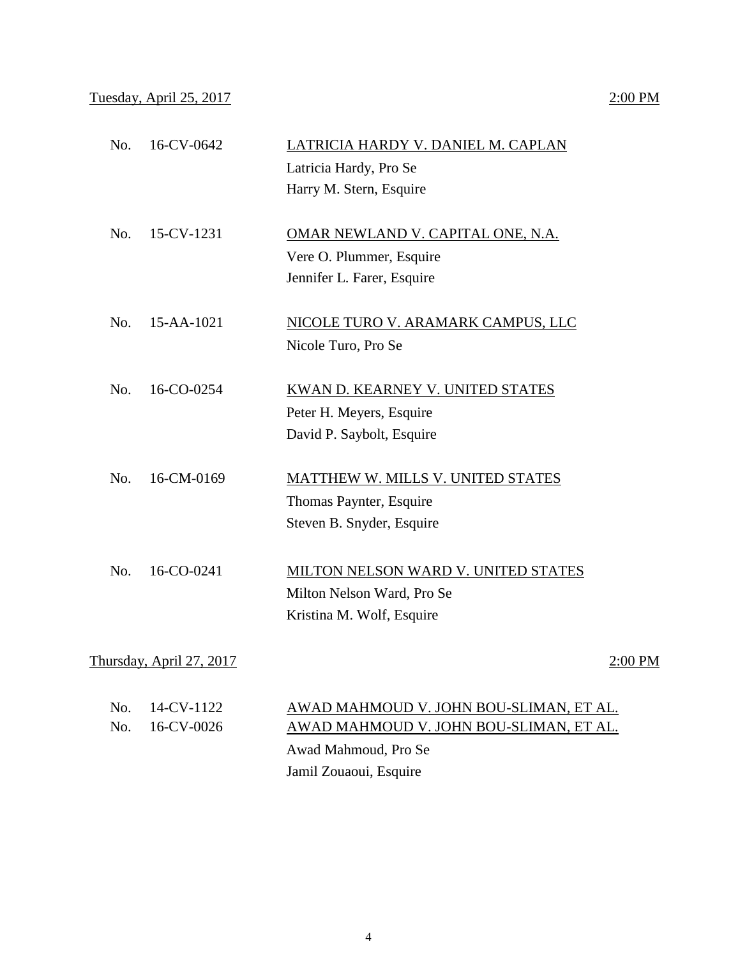| No. | 16-CV-0642               | LATRICIA HARDY V. DANIEL M. CAPLAN      |         |
|-----|--------------------------|-----------------------------------------|---------|
|     |                          | Latricia Hardy, Pro Se                  |         |
|     |                          | Harry M. Stern, Esquire                 |         |
| No. | 15-CV-1231               | OMAR NEWLAND V. CAPITAL ONE, N.A.       |         |
|     |                          | Vere O. Plummer, Esquire                |         |
|     |                          | Jennifer L. Farer, Esquire              |         |
| No. | 15-AA-1021               | NICOLE TURO V. ARAMARK CAMPUS, LLC      |         |
|     |                          | Nicole Turo, Pro Se                     |         |
| No. | 16-CO-0254               | KWAN D. KEARNEY V. UNITED STATES        |         |
|     |                          |                                         |         |
|     |                          | Peter H. Meyers, Esquire                |         |
|     |                          | David P. Saybolt, Esquire               |         |
| No. | 16-CM-0169               | MATTHEW W. MILLS V. UNITED STATES       |         |
|     |                          | Thomas Paynter, Esquire                 |         |
|     |                          | Steven B. Snyder, Esquire               |         |
| No. | 16-CO-0241               | MILTON NELSON WARD V. UNITED STATES     |         |
|     |                          | Milton Nelson Ward, Pro Se              |         |
|     |                          | Kristina M. Wolf, Esquire               |         |
|     |                          |                                         |         |
|     | Thursday, April 27, 2017 |                                         | 2:00 PM |
| No. | 14-CV-1122               | AWAD MAHMOUD V. JOHN BOU-SLIMAN, ET AL. |         |
| No. | 16-CV-0026               | AWAD MAHMOUD V. JOHN BOU-SLIMAN, ET AL. |         |
|     |                          | Awad Mahmoud, Pro Se                    |         |

Jamil Zouaoui, Esquire